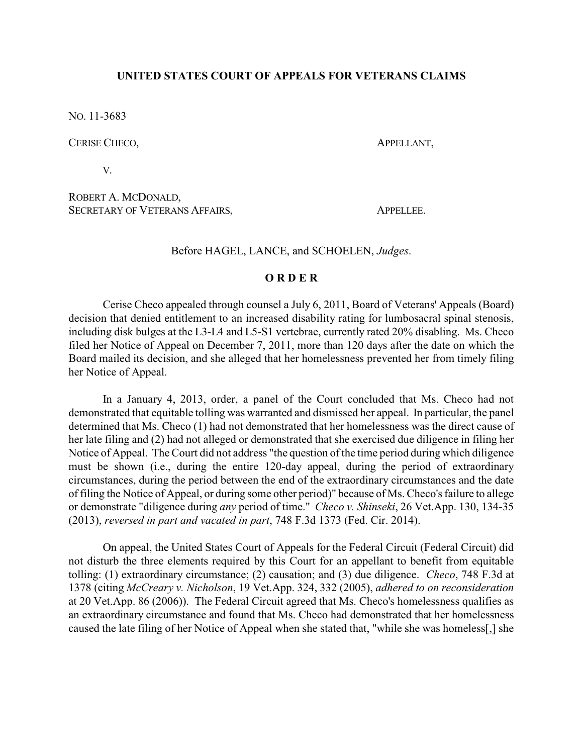## **UNITED STATES COURT OF APPEALS FOR VETERANS CLAIMS**

NO. 11-3683

CERISE CHECO, **APPELLANT**,

V.

ROBERT A. MCDONALD, SECRETARY OF VETERANS AFFAIRS. APPELLEE.

Before HAGEL, LANCE, and SCHOELEN, *Judges*.

## **O R D E R**

Cerise Checo appealed through counsel a July 6, 2011, Board of Veterans' Appeals (Board) decision that denied entitlement to an increased disability rating for lumbosacral spinal stenosis, including disk bulges at the L3-L4 and L5-S1 vertebrae, currently rated 20% disabling. Ms. Checo filed her Notice of Appeal on December 7, 2011, more than 120 days after the date on which the Board mailed its decision, and she alleged that her homelessness prevented her from timely filing her Notice of Appeal.

In a January 4, 2013, order, a panel of the Court concluded that Ms. Checo had not demonstrated that equitable tolling was warranted and dismissed her appeal. In particular, the panel determined that Ms. Checo (1) had not demonstrated that her homelessness was the direct cause of her late filing and (2) had not alleged or demonstrated that she exercised due diligence in filing her Notice of Appeal. The Court did not address "the question of the time period during which diligence must be shown (i.e., during the entire 120-day appeal, during the period of extraordinary circumstances, during the period between the end of the extraordinary circumstances and the date of filing the Notice of Appeal, or during some other period)" because of Ms. Checo's failure to allege or demonstrate "diligence during *any* period of time." *Checo v. Shinseki*, 26 Vet.App. 130, 134-35 (2013), *reversed in part and vacated in part*, 748 F.3d 1373 (Fed. Cir. 2014).

On appeal, the United States Court of Appeals for the Federal Circuit (Federal Circuit) did not disturb the three elements required by this Court for an appellant to benefit from equitable tolling: (1) extraordinary circumstance; (2) causation; and (3) due diligence. *Checo*, 748 F.3d at 1378 (citing *McCreary v. Nicholson*, 19 Vet.App. 324, 332 (2005), *adhered to on reconsideration* at 20 Vet.App. 86 (2006)). The Federal Circuit agreed that Ms. Checo's homelessness qualifies as an extraordinary circumstance and found that Ms. Checo had demonstrated that her homelessness caused the late filing of her Notice of Appeal when she stated that, "while she was homeless[,] she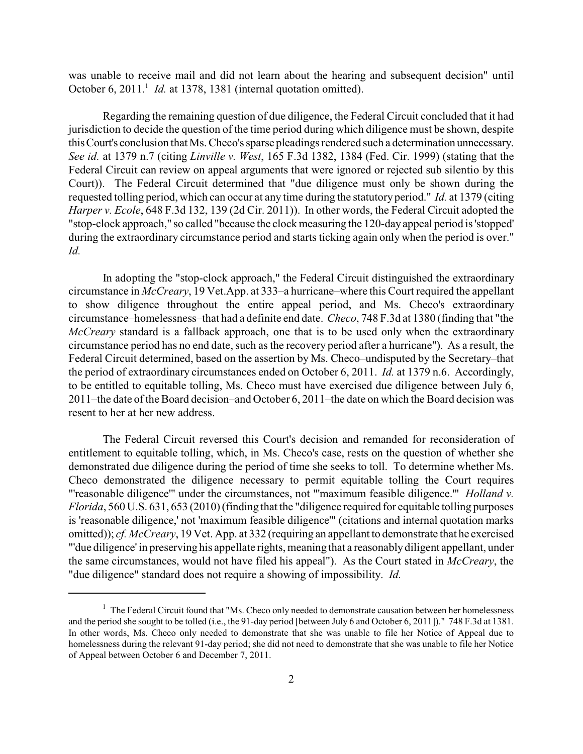was unable to receive mail and did not learn about the hearing and subsequent decision" until October 6, 2011.<sup>1</sup> *Id.* at 1378, 1381 (internal quotation omitted).

Regarding the remaining question of due diligence, the Federal Circuit concluded that it had jurisdiction to decide the question of the time period during which diligence must be shown, despite thisCourt's conclusion that Ms. Checo's sparse pleadings rendered such a determination unnecessary. *See id.* at 1379 n.7 (citing *Linville v. West*, 165 F.3d 1382, 1384 (Fed. Cir. 1999) (stating that the Federal Circuit can review on appeal arguments that were ignored or rejected sub silentio by this Court)). The Federal Circuit determined that "due diligence must only be shown during the requested tolling period, which can occur at any time during the statutory period." *Id.* at 1379 (citing *Harper v. Ecole*, 648 F.3d 132, 139 (2d Cir. 2011)). In other words, the Federal Circuit adopted the "stop-clock approach," so called "because the clock measuring the 120-dayappeal period is 'stopped' during the extraordinary circumstance period and starts ticking again only when the period is over." *Id.*

In adopting the "stop-clock approach," the Federal Circuit distinguished the extraordinary circumstance in *McCreary*, 19 Vet.App. at 333–a hurricane–where this Court required the appellant to show diligence throughout the entire appeal period, and Ms. Checo's extraordinary circumstance–homelessness–that had a definite end date. *Checo*, 748 F.3d at 1380 (finding that "the *McCreary* standard is a fallback approach, one that is to be used only when the extraordinary circumstance period has no end date, such as the recovery period after a hurricane"). As a result, the Federal Circuit determined, based on the assertion by Ms. Checo–undisputed by the Secretary–that the period of extraordinary circumstances ended on October 6, 2011. *Id.* at 1379 n.6. Accordingly, to be entitled to equitable tolling, Ms. Checo must have exercised due diligence between July 6, 2011–the date of the Board decision–and October 6, 2011–the date on which the Board decision was resent to her at her new address.

The Federal Circuit reversed this Court's decision and remanded for reconsideration of entitlement to equitable tolling, which, in Ms. Checo's case, rests on the question of whether she demonstrated due diligence during the period of time she seeks to toll. To determine whether Ms. Checo demonstrated the diligence necessary to permit equitable tolling the Court requires "'reasonable diligence'" under the circumstances, not "'maximum feasible diligence.'" *Holland v. Florida*, 560 U.S. 631, 653 (2010) (finding that the "diligence required for equitable tolling purposes is 'reasonable diligence,' not 'maximum feasible diligence'" (citations and internal quotation marks omitted)); *cf. McCreary*, 19 Vet. App. at 332 (requiring an appellant to demonstrate that he exercised "'due diligence' in preserving his appellate rights, meaning that a reasonably diligent appellant, under the same circumstances, would not have filed his appeal"). As the Court stated in *McCreary*, the "due diligence" standard does not require a showing of impossibility. *Id.*

 $1$  The Federal Circuit found that "Ms. Checo only needed to demonstrate causation between her homelessness and the period she sought to be tolled (i.e., the 91-day period [between July 6 and October 6, 2011])." 748 F.3d at 1381. In other words, Ms. Checo only needed to demonstrate that she was unable to file her Notice of Appeal due to homelessness during the relevant 91-day period; she did not need to demonstrate that she was unable to file her Notice of Appeal between October 6 and December 7, 2011.